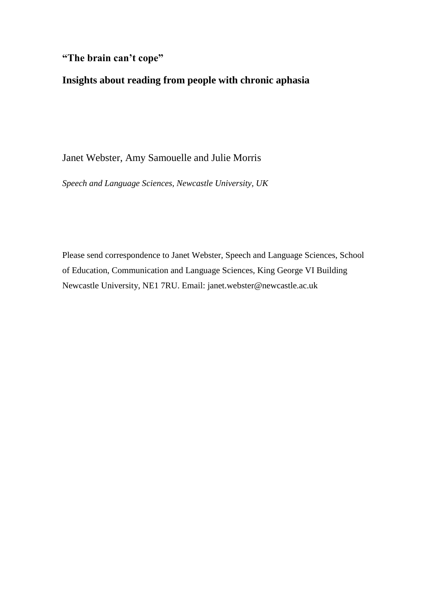# **"The brain can't cope"**

# **Insights about reading from people with chronic aphasia**

# Janet Webster, Amy Samouelle and Julie Morris

*Speech and Language Sciences, Newcastle University, UK*

Please send correspondence to Janet Webster, Speech and Language Sciences, School of Education, Communication and Language Sciences, King George VI Building Newcastle University, NE1 7RU. Email: [janet.webster@newcastle.ac.uk](mailto:janet.webster@newcastle.ac.uk)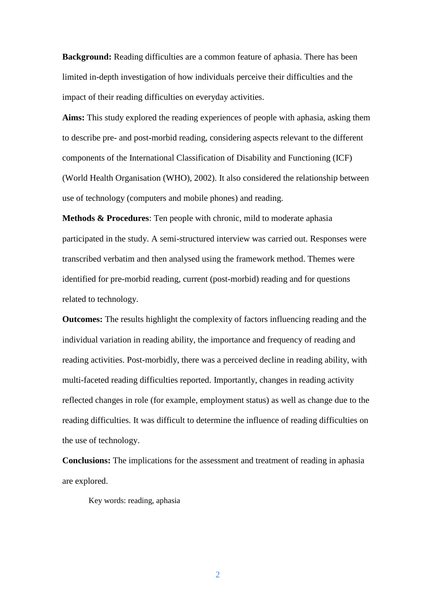**Background:** Reading difficulties are a common feature of aphasia. There has been limited in-depth investigation of how individuals perceive their difficulties and the impact of their reading difficulties on everyday activities.

**Aims:** This study explored the reading experiences of people with aphasia, asking them to describe pre- and post-morbid reading, considering aspects relevant to the different components of the International Classification of Disability and Functioning (ICF) (World Health Organisation (WHO), 2002). It also considered the relationship between use of technology (computers and mobile phones) and reading.

**Methods & Procedures**: Ten people with chronic, mild to moderate aphasia participated in the study. A semi-structured interview was carried out. Responses were transcribed verbatim and then analysed using the framework method. Themes were identified for pre-morbid reading, current (post-morbid) reading and for questions related to technology.

**Outcomes:** The results highlight the complexity of factors influencing reading and the individual variation in reading ability, the importance and frequency of reading and reading activities. Post-morbidly, there was a perceived decline in reading ability, with multi-faceted reading difficulties reported. Importantly, changes in reading activity reflected changes in role (for example, employment status) as well as change due to the reading difficulties. It was difficult to determine the influence of reading difficulties on the use of technology.

**Conclusions:** The implications for the assessment and treatment of reading in aphasia are explored.

Key words: reading, aphasia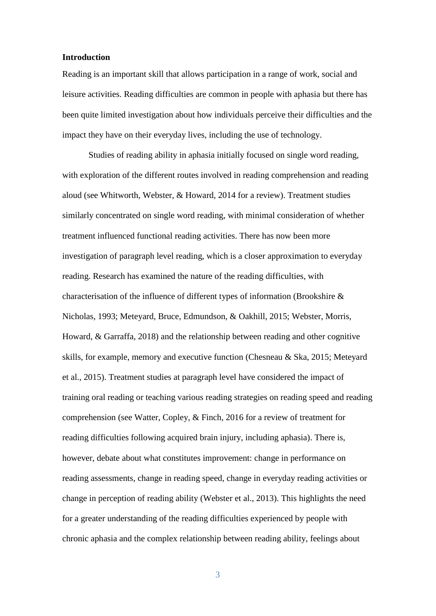## **Introduction**

Reading is an important skill that allows participation in a range of work, social and leisure activities. Reading difficulties are common in people with aphasia but there has been quite limited investigation about how individuals perceive their difficulties and the impact they have on their everyday lives, including the use of technology.

Studies of reading ability in aphasia initially focused on single word reading, with exploration of the different routes involved in reading comprehension and reading aloud (see Whitworth, Webster, & Howard, 2014 for a review). Treatment studies similarly concentrated on single word reading, with minimal consideration of whether treatment influenced functional reading activities. There has now been more investigation of paragraph level reading, which is a closer approximation to everyday reading. Research has examined the nature of the reading difficulties, with characterisation of the influence of different types of information (Brookshire & Nicholas, 1993; Meteyard, Bruce, Edmundson, & Oakhill, 2015; Webster, Morris, Howard, & Garraffa, 2018) and the relationship between reading and other cognitive skills, for example, memory and executive function (Chesneau & Ska, 2015; Meteyard et al., 2015). Treatment studies at paragraph level have considered the impact of training oral reading or teaching various reading strategies on reading speed and reading comprehension (see Watter, Copley, & Finch, 2016 for a review of treatment for reading difficulties following acquired brain injury, including aphasia). There is, however, debate about what constitutes improvement: change in performance on reading assessments, change in reading speed, change in everyday reading activities or change in perception of reading ability (Webster et al., 2013). This highlights the need for a greater understanding of the reading difficulties experienced by people with chronic aphasia and the complex relationship between reading ability, feelings about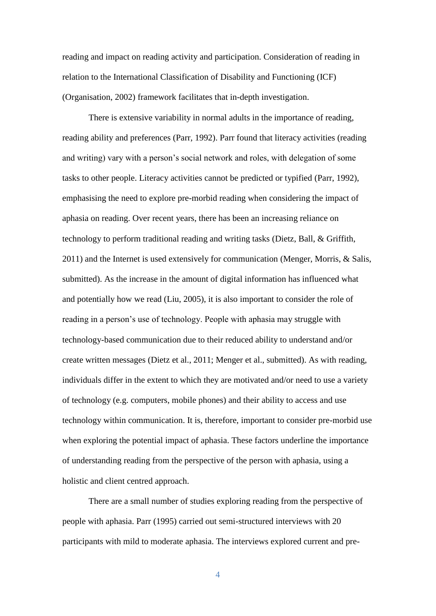reading and impact on reading activity and participation. Consideration of reading in relation to the International Classification of Disability and Functioning (ICF) (Organisation, 2002) framework facilitates that in-depth investigation.

There is extensive variability in normal adults in the importance of reading, reading ability and preferences (Parr, 1992). Parr found that literacy activities (reading and writing) vary with a person's social network and roles, with delegation of some tasks to other people. Literacy activities cannot be predicted or typified (Parr, 1992), emphasising the need to explore pre-morbid reading when considering the impact of aphasia on reading. Over recent years, there has been an increasing reliance on technology to perform traditional reading and writing tasks (Dietz, Ball, & Griffith, 2011) and the Internet is used extensively for communication (Menger, Morris, & Salis, submitted). As the increase in the amount of digital information has influenced what and potentially how we read (Liu, 2005), it is also important to consider the role of reading in a person's use of technology. People with aphasia may struggle with technology-based communication due to their reduced ability to understand and/or create written messages (Dietz et al., 2011; Menger et al., submitted). As with reading, individuals differ in the extent to which they are motivated and/or need to use a variety of technology (e.g. computers, mobile phones) and their ability to access and use technology within communication. It is, therefore, important to consider pre-morbid use when exploring the potential impact of aphasia. These factors underline the importance of understanding reading from the perspective of the person with aphasia, using a holistic and client centred approach.

There are a small number of studies exploring reading from the perspective of people with aphasia. Parr (1995) carried out semi-structured interviews with 20 participants with mild to moderate aphasia. The interviews explored current and pre-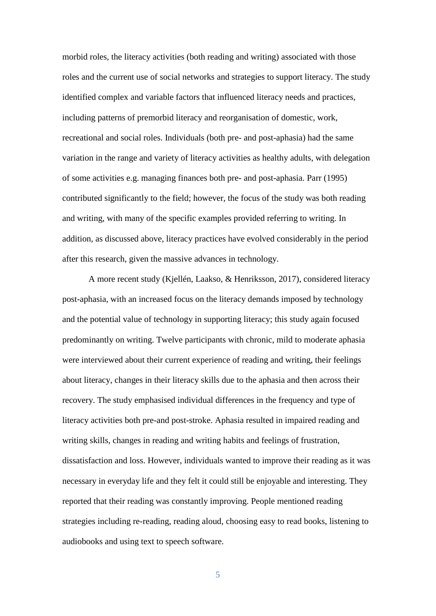morbid roles, the literacy activities (both reading and writing) associated with those roles and the current use of social networks and strategies to support literacy. The study identified complex and variable factors that influenced literacy needs and practices, including patterns of premorbid literacy and reorganisation of domestic, work, recreational and social roles. Individuals (both pre- and post-aphasia) had the same variation in the range and variety of literacy activities as healthy adults, with delegation of some activities e.g. managing finances both pre- and post-aphasia. Parr (1995) contributed significantly to the field; however, the focus of the study was both reading and writing, with many of the specific examples provided referring to writing. In addition, as discussed above, literacy practices have evolved considerably in the period after this research, given the massive advances in technology.

A more recent study (Kjellén, Laakso, & Henriksson, 2017), considered literacy post-aphasia, with an increased focus on the literacy demands imposed by technology and the potential value of technology in supporting literacy; this study again focused predominantly on writing. Twelve participants with chronic, mild to moderate aphasia were interviewed about their current experience of reading and writing, their feelings about literacy, changes in their literacy skills due to the aphasia and then across their recovery. The study emphasised individual differences in the frequency and type of literacy activities both pre-and post-stroke. Aphasia resulted in impaired reading and writing skills, changes in reading and writing habits and feelings of frustration, dissatisfaction and loss. However, individuals wanted to improve their reading as it was necessary in everyday life and they felt it could still be enjoyable and interesting. They reported that their reading was constantly improving. People mentioned reading strategies including re-reading, reading aloud, choosing easy to read books, listening to audiobooks and using text to speech software.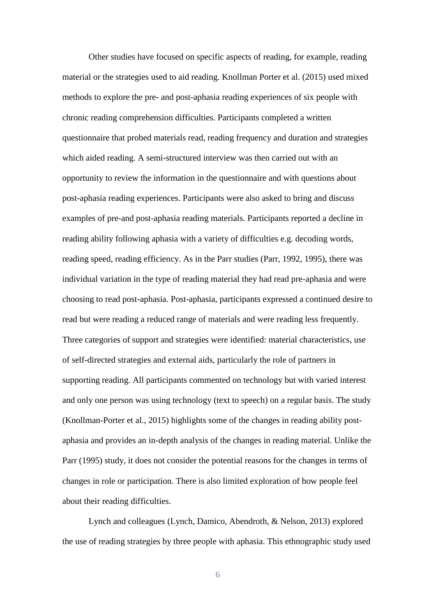Other studies have focused on specific aspects of reading, for example, reading material or the strategies used to aid reading. Knollman Porter et al. (2015) used mixed methods to explore the pre- and post-aphasia reading experiences of six people with chronic reading comprehension difficulties. Participants completed a written questionnaire that probed materials read, reading frequency and duration and strategies which aided reading. A semi-structured interview was then carried out with an opportunity to review the information in the questionnaire and with questions about post-aphasia reading experiences. Participants were also asked to bring and discuss examples of pre-and post-aphasia reading materials. Participants reported a decline in reading ability following aphasia with a variety of difficulties e.g. decoding words, reading speed, reading efficiency. As in the Parr studies (Parr, 1992, 1995), there was individual variation in the type of reading material they had read pre-aphasia and were choosing to read post-aphasia. Post-aphasia, participants expressed a continued desire to read but were reading a reduced range of materials and were reading less frequently. Three categories of support and strategies were identified: material characteristics, use of self-directed strategies and external aids, particularly the role of partners in supporting reading. All participants commented on technology but with varied interest and only one person was using technology (text to speech) on a regular basis. The study (Knollman-Porter et al., 2015) highlights some of the changes in reading ability postaphasia and provides an in-depth analysis of the changes in reading material. Unlike the Parr (1995) study, it does not consider the potential reasons for the changes in terms of changes in role or participation. There is also limited exploration of how people feel about their reading difficulties.

Lynch and colleagues (Lynch, Damico, Abendroth, & Nelson, 2013) explored the use of reading strategies by three people with aphasia. This ethnographic study used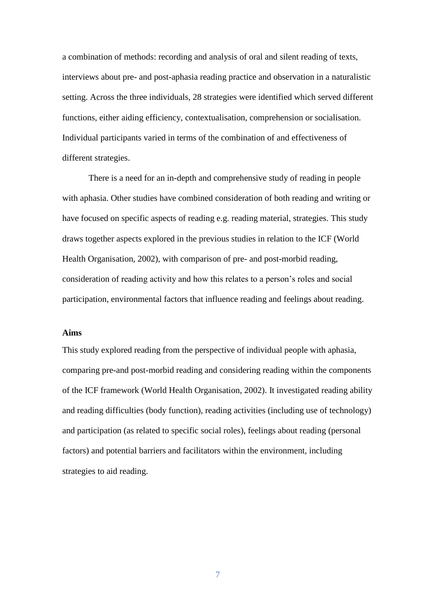a combination of methods: recording and analysis of oral and silent reading of texts, interviews about pre- and post-aphasia reading practice and observation in a naturalistic setting. Across the three individuals, 28 strategies were identified which served different functions, either aiding efficiency, contextualisation, comprehension or socialisation. Individual participants varied in terms of the combination of and effectiveness of different strategies.

There is a need for an in-depth and comprehensive study of reading in people with aphasia. Other studies have combined consideration of both reading and writing or have focused on specific aspects of reading e.g. reading material, strategies. This study draws together aspects explored in the previous studies in relation to the ICF (World Health Organisation, 2002), with comparison of pre- and post-morbid reading, consideration of reading activity and how this relates to a person's roles and social participation, environmental factors that influence reading and feelings about reading.

# **Aims**

This study explored reading from the perspective of individual people with aphasia, comparing pre-and post-morbid reading and considering reading within the components of the ICF framework (World Health Organisation, 2002). It investigated reading ability and reading difficulties (body function), reading activities (including use of technology) and participation (as related to specific social roles), feelings about reading (personal factors) and potential barriers and facilitators within the environment, including strategies to aid reading.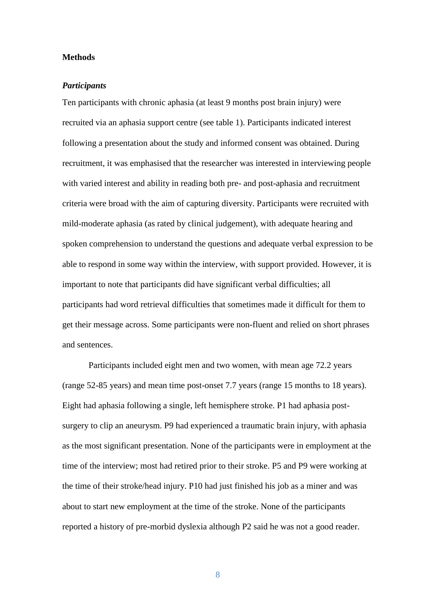## **Methods**

## *Participants*

Ten participants with chronic aphasia (at least 9 months post brain injury) were recruited via an aphasia support centre (see table 1). Participants indicated interest following a presentation about the study and informed consent was obtained. During recruitment, it was emphasised that the researcher was interested in interviewing people with varied interest and ability in reading both pre- and post-aphasia and recruitment criteria were broad with the aim of capturing diversity. Participants were recruited with mild-moderate aphasia (as rated by clinical judgement), with adequate hearing and spoken comprehension to understand the questions and adequate verbal expression to be able to respond in some way within the interview, with support provided. However, it is important to note that participants did have significant verbal difficulties; all participants had word retrieval difficulties that sometimes made it difficult for them to get their message across. Some participants were non-fluent and relied on short phrases and sentences.

Participants included eight men and two women, with mean age 72.2 years (range 52-85 years) and mean time post-onset 7.7 years (range 15 months to 18 years). Eight had aphasia following a single, left hemisphere stroke. P1 had aphasia postsurgery to clip an aneurysm. P9 had experienced a traumatic brain injury, with aphasia as the most significant presentation. None of the participants were in employment at the time of the interview; most had retired prior to their stroke. P5 and P9 were working at the time of their stroke/head injury. P10 had just finished his job as a miner and was about to start new employment at the time of the stroke. None of the participants reported a history of pre-morbid dyslexia although P2 said he was not a good reader.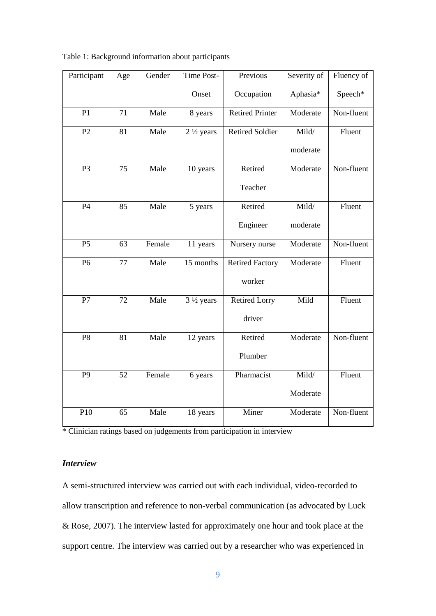| Participant     | Age             | Gender | Time Post-           | Previous               | Severity of | Fluency of |
|-----------------|-----------------|--------|----------------------|------------------------|-------------|------------|
|                 |                 |        | Onset                | Occupation             | Aphasia*    | Speech*    |
| P1              | 71              | Male   | 8 years              | <b>Retired Printer</b> | Moderate    | Non-fluent |
| P2              | 81              | Male   | $2\frac{1}{2}$ years | <b>Retired Soldier</b> | Mild/       | Fluent     |
|                 |                 |        |                      |                        | moderate    |            |
| P <sub>3</sub>  | $\overline{75}$ | Male   | 10 years             | Retired                | Moderate    | Non-fluent |
|                 |                 |        |                      | Teacher                |             |            |
| $\overline{P4}$ | 85              | Male   | 5 years              | Retired                | Mild/       | Fluent     |
|                 |                 |        |                      | Engineer               | moderate    |            |
| P <sub>5</sub>  | 63              | Female | 11 years             | Nursery nurse          | Moderate    | Non-fluent |
| $\overline{P6}$ | $\overline{77}$ | Male   | 15 months            | <b>Retired Factory</b> | Moderate    | Fluent     |
|                 |                 |        |                      | worker                 |             |            |
| $\overline{P7}$ | $\overline{72}$ | Male   | $3\frac{1}{2}$ years | <b>Retired Lorry</b>   | Mild        | Fluent     |
|                 |                 |        |                      | driver                 |             |            |
| $\overline{P8}$ | $\overline{81}$ | Male   | 12 years             | Retired                | Moderate    | Non-fluent |
|                 |                 |        |                      | Plumber                |             |            |
| $\overline{P9}$ | $\overline{52}$ | Female | 6 years              | Pharmacist             | Mild/       | Fluent     |
|                 |                 |        |                      |                        | Moderate    |            |
| P10             | 65              | Male   | 18 years             | Miner                  | Moderate    | Non-fluent |

Table 1: Background information about participants

\* Clinician ratings based on judgements from participation in interview

# *Interview*

A semi-structured interview was carried out with each individual, video-recorded to allow transcription and reference to non-verbal communication (as advocated by Luck & Rose, 2007). The interview lasted for approximately one hour and took place at the support centre. The interview was carried out by a researcher who was experienced in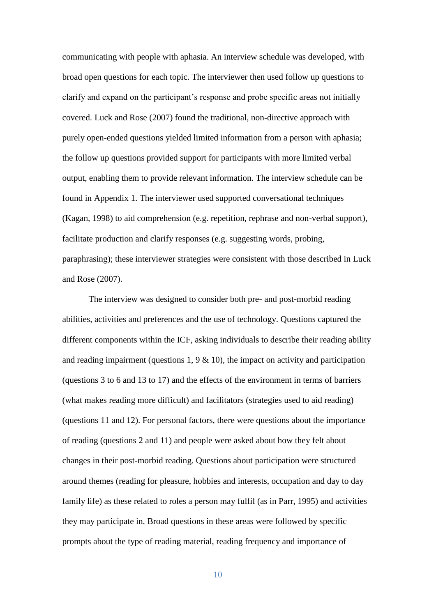communicating with people with aphasia. An interview schedule was developed, with broad open questions for each topic. The interviewer then used follow up questions to clarify and expand on the participant's response and probe specific areas not initially covered. Luck and Rose (2007) found the traditional, non-directive approach with purely open-ended questions yielded limited information from a person with aphasia; the follow up questions provided support for participants with more limited verbal output, enabling them to provide relevant information. The interview schedule can be found in Appendix 1. The interviewer used supported conversational techniques (Kagan, 1998) to aid comprehension (e.g. repetition, rephrase and non-verbal support), facilitate production and clarify responses (e.g. suggesting words, probing, paraphrasing); these interviewer strategies were consistent with those described in Luck and Rose (2007).

The interview was designed to consider both pre- and post-morbid reading abilities, activities and preferences and the use of technology. Questions captured the different components within the ICF, asking individuals to describe their reading ability and reading impairment (questions  $1, 9 \& 10$ ), the impact on activity and participation (questions 3 to 6 and 13 to 17) and the effects of the environment in terms of barriers (what makes reading more difficult) and facilitators (strategies used to aid reading) (questions 11 and 12). For personal factors, there were questions about the importance of reading (questions 2 and 11) and people were asked about how they felt about changes in their post-morbid reading. Questions about participation were structured around themes (reading for pleasure, hobbies and interests, occupation and day to day family life) as these related to roles a person may fulfil (as in Parr, 1995) and activities they may participate in. Broad questions in these areas were followed by specific prompts about the type of reading material, reading frequency and importance of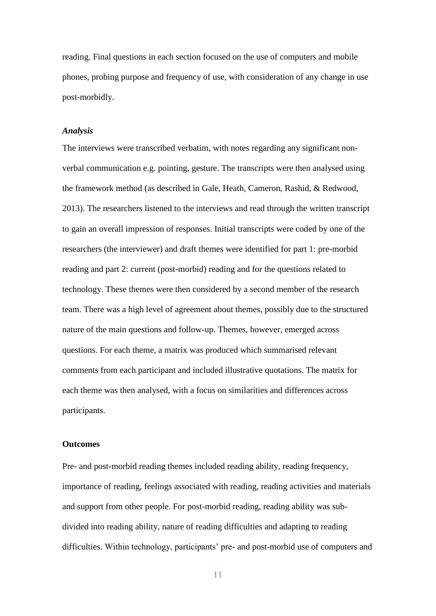reading. Final questions in each section focused on the use of computers and mobile phones, probing purpose and frequency of use, with consideration of any change in use post-morbidly.

## *Analysis*

The interviews were transcribed verbatim, with notes regarding any significant nonverbal communication e.g. pointing, gesture. The transcripts were then analysed using the framework method (as described in Gale, Heath, Cameron, Rashid, & Redwood, 2013). The researchers listened to the interviews and read through the written transcript to gain an overall impression of responses. Initial transcripts were coded by one of the researchers (the interviewer) and draft themes were identified for part 1: pre-morbid reading and part 2: current (post-morbid) reading and for the questions related to technology. These themes were then considered by a second member of the research team. There was a high level of agreement about themes, possibly due to the structured nature of the main questions and follow-up. Themes, however, emerged across questions. For each theme, a matrix was produced which summarised relevant comments from each participant and included illustrative quotations. The matrix for each theme was then analysed, with a focus on similarities and differences across participants.

### **Outcomes**

Pre- and post-morbid reading themes included reading ability, reading frequency, importance of reading, feelings associated with reading, reading activities and materials and support from other people. For post-morbid reading, reading ability was subdivided into reading ability, nature of reading difficulties and adapting to reading difficulties. Within technology, participants' pre- and post-morbid use of computers and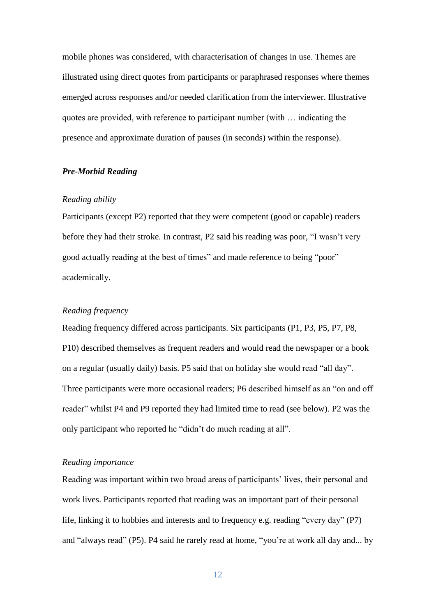mobile phones was considered, with characterisation of changes in use. Themes are illustrated using direct quotes from participants or paraphrased responses where themes emerged across responses and/or needed clarification from the interviewer. Illustrative quotes are provided, with reference to participant number (with … indicating the presence and approximate duration of pauses (in seconds) within the response).

## *Pre-Morbid Reading*

#### *Reading ability*

Participants (except P2) reported that they were competent (good or capable) readers before they had their stroke. In contrast, P2 said his reading was poor, "I wasn't very good actually reading at the best of times" and made reference to being "poor" academically.

## *Reading frequency*

Reading frequency differed across participants. Six participants (P1, P3, P5, P7, P8, P10) described themselves as frequent readers and would read the newspaper or a book on a regular (usually daily) basis. P5 said that on holiday she would read "all day". Three participants were more occasional readers; P6 described himself as an "on and off reader" whilst P4 and P9 reported they had limited time to read (see below). P2 was the only participant who reported he "didn't do much reading at all".

#### *Reading importance*

Reading was important within two broad areas of participants' lives, their personal and work lives. Participants reported that reading was an important part of their personal life, linking it to hobbies and interests and to frequency e.g. reading "every day" (P7) and "always read" (P5). P4 said he rarely read at home, "you're at work all day and... by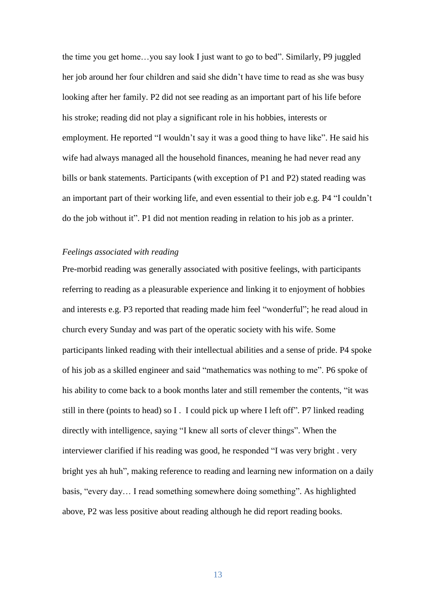the time you get home…you say look I just want to go to bed". Similarly, P9 juggled her job around her four children and said she didn't have time to read as she was busy looking after her family. P2 did not see reading as an important part of his life before his stroke; reading did not play a significant role in his hobbies, interests or employment. He reported "I wouldn't say it was a good thing to have like". He said his wife had always managed all the household finances, meaning he had never read any bills or bank statements. Participants (with exception of P1 and P2) stated reading was an important part of their working life, and even essential to their job e.g. P4 "I couldn't do the job without it". P1 did not mention reading in relation to his job as a printer.

# *Feelings associated with reading*

Pre-morbid reading was generally associated with positive feelings, with participants referring to reading as a pleasurable experience and linking it to enjoyment of hobbies and interests e.g. P3 reported that reading made him feel "wonderful"; he read aloud in church every Sunday and was part of the operatic society with his wife. Some participants linked reading with their intellectual abilities and a sense of pride. P4 spoke of his job as a skilled engineer and said "mathematics was nothing to me". P6 spoke of his ability to come back to a book months later and still remember the contents, "it was still in there (points to head) so I . I could pick up where I left off". P7 linked reading directly with intelligence, saying "I knew all sorts of clever things". When the interviewer clarified if his reading was good, he responded "I was very bright . very bright yes ah huh", making reference to reading and learning new information on a daily basis, "every day… I read something somewhere doing something". As highlighted above, P2 was less positive about reading although he did report reading books.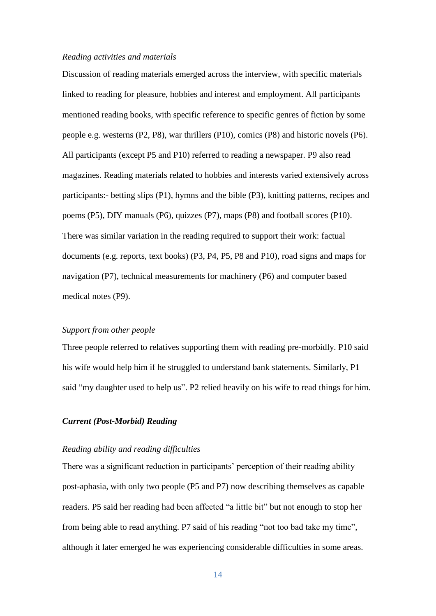#### *Reading activities and materials*

Discussion of reading materials emerged across the interview, with specific materials linked to reading for pleasure, hobbies and interest and employment. All participants mentioned reading books, with specific reference to specific genres of fiction by some people e.g. westerns (P2, P8), war thrillers (P10), comics (P8) and historic novels (P6). All participants (except P5 and P10) referred to reading a newspaper. P9 also read magazines. Reading materials related to hobbies and interests varied extensively across participants:- betting slips (P1), hymns and the bible (P3), knitting patterns, recipes and poems (P5), DIY manuals (P6), quizzes (P7), maps (P8) and football scores (P10). There was similar variation in the reading required to support their work: factual documents (e.g. reports, text books) (P3, P4, P5, P8 and P10), road signs and maps for navigation (P7), technical measurements for machinery (P6) and computer based medical notes (P9).

#### *Support from other people*

Three people referred to relatives supporting them with reading pre-morbidly. P10 said his wife would help him if he struggled to understand bank statements. Similarly, P1 said "my daughter used to help us". P2 relied heavily on his wife to read things for him.

# *Current (Post-Morbid) Reading*

### *Reading ability and reading difficulties*

There was a significant reduction in participants' perception of their reading ability post-aphasia, with only two people (P5 and P7) now describing themselves as capable readers. P5 said her reading had been affected "a little bit" but not enough to stop her from being able to read anything. P7 said of his reading "not too bad take my time", although it later emerged he was experiencing considerable difficulties in some areas.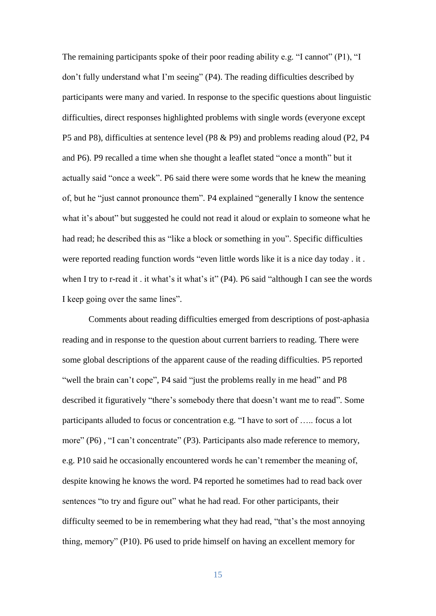The remaining participants spoke of their poor reading ability e.g. "I cannot" (P1), "I don't fully understand what I'm seeing" (P4). The reading difficulties described by participants were many and varied. In response to the specific questions about linguistic difficulties, direct responses highlighted problems with single words (everyone except P5 and P8), difficulties at sentence level (P8 & P9) and problems reading aloud (P2, P4 and P6). P9 recalled a time when she thought a leaflet stated "once a month" but it actually said "once a week". P6 said there were some words that he knew the meaning of, but he "just cannot pronounce them". P4 explained "generally I know the sentence what it's about" but suggested he could not read it aloud or explain to someone what he had read; he described this as "like a block or something in you". Specific difficulties were reported reading function words "even little words like it is a nice day today . it . when I try to r-read it . it what's it what's it" (P4). P6 said "although I can see the words I keep going over the same lines".

Comments about reading difficulties emerged from descriptions of post-aphasia reading and in response to the question about current barriers to reading. There were some global descriptions of the apparent cause of the reading difficulties. P5 reported "well the brain can't cope", P4 said "just the problems really in me head" and P8 described it figuratively "there's somebody there that doesn't want me to read". Some participants alluded to focus or concentration e.g. "I have to sort of ….. focus a lot more" (P6), "I can't concentrate" (P3). Participants also made reference to memory, e.g. P10 said he occasionally encountered words he can't remember the meaning of, despite knowing he knows the word. P4 reported he sometimes had to read back over sentences "to try and figure out" what he had read. For other participants, their difficulty seemed to be in remembering what they had read, "that's the most annoying thing, memory" (P10). P6 used to pride himself on having an excellent memory for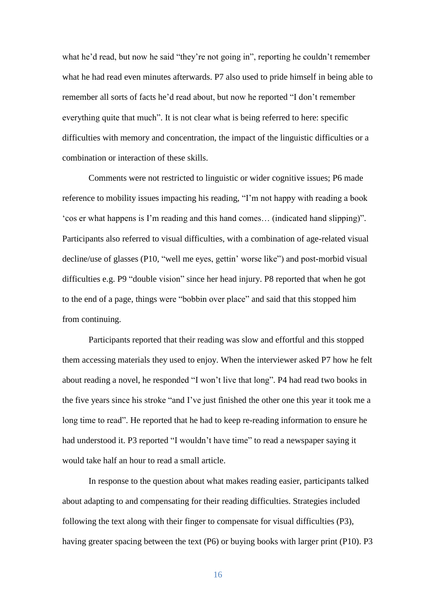what he'd read, but now he said "they're not going in", reporting he couldn't remember what he had read even minutes afterwards. P7 also used to pride himself in being able to remember all sorts of facts he'd read about, but now he reported "I don't remember everything quite that much". It is not clear what is being referred to here: specific difficulties with memory and concentration, the impact of the linguistic difficulties or a combination or interaction of these skills.

Comments were not restricted to linguistic or wider cognitive issues; P6 made reference to mobility issues impacting his reading, "I'm not happy with reading a book 'cos er what happens is I'm reading and this hand comes… (indicated hand slipping)". Participants also referred to visual difficulties, with a combination of age-related visual decline/use of glasses (P10, "well me eyes, gettin' worse like") and post-morbid visual difficulties e.g. P9 "double vision" since her head injury. P8 reported that when he got to the end of a page, things were "bobbin over place" and said that this stopped him from continuing.

Participants reported that their reading was slow and effortful and this stopped them accessing materials they used to enjoy. When the interviewer asked P7 how he felt about reading a novel, he responded "I won't live that long". P4 had read two books in the five years since his stroke "and I've just finished the other one this year it took me a long time to read". He reported that he had to keep re-reading information to ensure he had understood it. P3 reported "I wouldn't have time" to read a newspaper saying it would take half an hour to read a small article.

In response to the question about what makes reading easier, participants talked about adapting to and compensating for their reading difficulties. Strategies included following the text along with their finger to compensate for visual difficulties (P3), having greater spacing between the text (P6) or buying books with larger print (P10). P3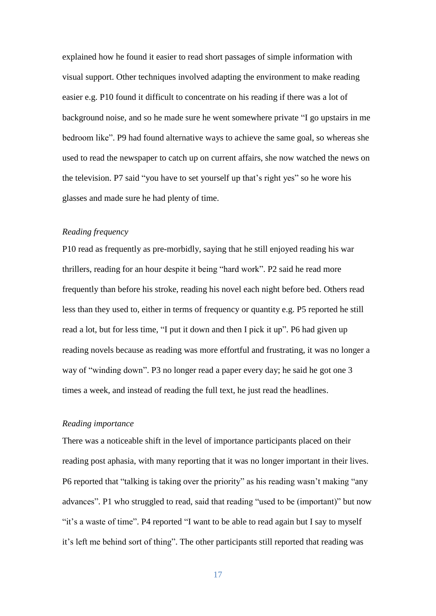explained how he found it easier to read short passages of simple information with visual support. Other techniques involved adapting the environment to make reading easier e.g. P10 found it difficult to concentrate on his reading if there was a lot of background noise, and so he made sure he went somewhere private "I go upstairs in me bedroom like". P9 had found alternative ways to achieve the same goal, so whereas she used to read the newspaper to catch up on current affairs, she now watched the news on the television. P7 said "you have to set yourself up that's right yes" so he wore his glasses and made sure he had plenty of time.

## *Reading frequency*

P10 read as frequently as pre-morbidly, saying that he still enjoyed reading his war thrillers, reading for an hour despite it being "hard work". P2 said he read more frequently than before his stroke, reading his novel each night before bed. Others read less than they used to, either in terms of frequency or quantity e.g. P5 reported he still read a lot, but for less time, "I put it down and then I pick it up". P6 had given up reading novels because as reading was more effortful and frustrating, it was no longer a way of "winding down". P3 no longer read a paper every day; he said he got one 3 times a week, and instead of reading the full text, he just read the headlines.

#### *Reading importance*

There was a noticeable shift in the level of importance participants placed on their reading post aphasia, with many reporting that it was no longer important in their lives. P6 reported that "talking is taking over the priority" as his reading wasn't making "any advances". P1 who struggled to read, said that reading "used to be (important)" but now "it's a waste of time". P4 reported "I want to be able to read again but I say to myself it's left me behind sort of thing". The other participants still reported that reading was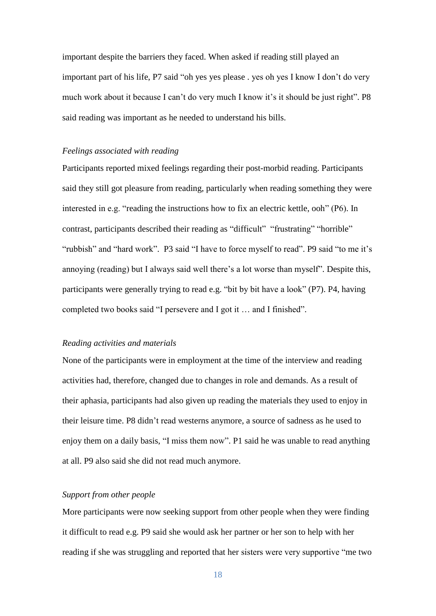important despite the barriers they faced. When asked if reading still played an important part of his life, P7 said "oh yes yes please . yes oh yes I know I don't do very much work about it because I can't do very much I know it's it should be just right". P8 said reading was important as he needed to understand his bills.

# *Feelings associated with reading*

Participants reported mixed feelings regarding their post-morbid reading. Participants said they still got pleasure from reading, particularly when reading something they were interested in e.g. "reading the instructions how to fix an electric kettle, ooh" (P6). In contrast, participants described their reading as "difficult" "frustrating" "horrible" "rubbish" and "hard work". P3 said "I have to force myself to read". P9 said "to me it's annoying (reading) but I always said well there's a lot worse than myself". Despite this, participants were generally trying to read e.g. "bit by bit have a look" (P7). P4, having completed two books said "I persevere and I got it … and I finished".

## *Reading activities and materials*

None of the participants were in employment at the time of the interview and reading activities had, therefore, changed due to changes in role and demands. As a result of their aphasia, participants had also given up reading the materials they used to enjoy in their leisure time. P8 didn't read westerns anymore, a source of sadness as he used to enjoy them on a daily basis, "I miss them now". P1 said he was unable to read anything at all. P9 also said she did not read much anymore.

# *Support from other people*

More participants were now seeking support from other people when they were finding it difficult to read e.g. P9 said she would ask her partner or her son to help with her reading if she was struggling and reported that her sisters were very supportive "me two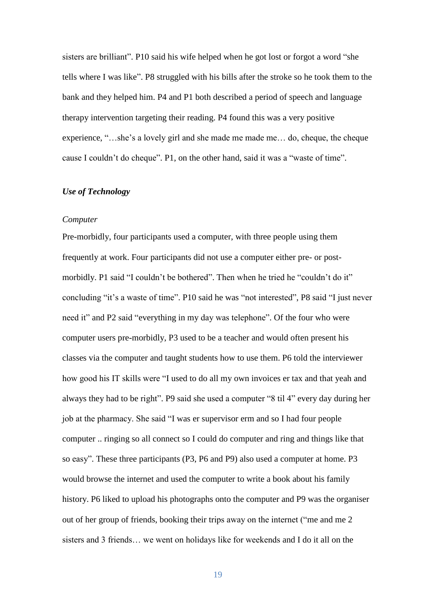sisters are brilliant". P10 said his wife helped when he got lost or forgot a word "she tells where I was like". P8 struggled with his bills after the stroke so he took them to the bank and they helped him. P4 and P1 both described a period of speech and language therapy intervention targeting their reading. P4 found this was a very positive experience, "…she's a lovely girl and she made me made me… do, cheque, the cheque cause I couldn't do cheque". P1, on the other hand, said it was a "waste of time".

### *Use of Technology*

# *Computer*

Pre-morbidly, four participants used a computer, with three people using them frequently at work. Four participants did not use a computer either pre- or postmorbidly. P1 said "I couldn't be bothered". Then when he tried he "couldn't do it" concluding "it's a waste of time". P10 said he was "not interested", P8 said "I just never need it" and P2 said "everything in my day was telephone". Of the four who were computer users pre-morbidly, P3 used to be a teacher and would often present his classes via the computer and taught students how to use them. P6 told the interviewer how good his IT skills were "I used to do all my own invoices er tax and that yeah and always they had to be right". P9 said she used a computer "8 til 4" every day during her job at the pharmacy. She said "I was er supervisor erm and so I had four people computer .. ringing so all connect so I could do computer and ring and things like that so easy". These three participants (P3, P6 and P9) also used a computer at home. P3 would browse the internet and used the computer to write a book about his family history. P6 liked to upload his photographs onto the computer and P9 was the organiser out of her group of friends, booking their trips away on the internet ("me and me 2 sisters and 3 friends… we went on holidays like for weekends and I do it all on the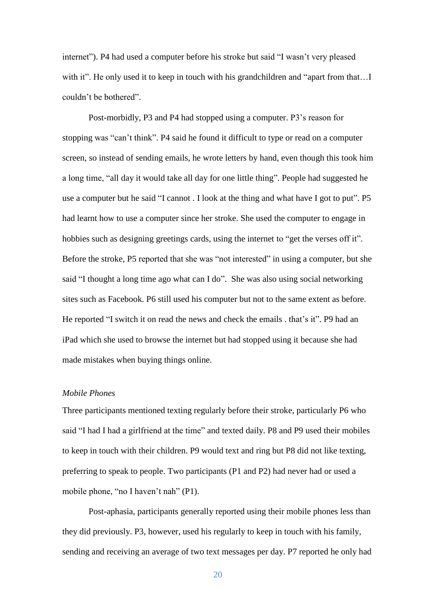internet"). P4 had used a computer before his stroke but said "I wasn't very pleased with it". He only used it to keep in touch with his grandchildren and "apart from that...I couldn't be bothered".

Post-morbidly, P3 and P4 had stopped using a computer. P3's reason for stopping was "can't think". P4 said he found it difficult to type or read on a computer screen, so instead of sending emails, he wrote letters by hand, even though this took him a long time, "all day it would take all day for one little thing". People had suggested he use a computer but he said "I cannot . I look at the thing and what have I got to put". P5 had learnt how to use a computer since her stroke. She used the computer to engage in hobbies such as designing greetings cards, using the internet to "get the verses off it". Before the stroke, P5 reported that she was "not interested" in using a computer, but she said "I thought a long time ago what can I do". She was also using social networking sites such as Facebook. P6 still used his computer but not to the same extent as before. He reported "I switch it on read the news and check the emails . that's it". P9 had an iPad which she used to browse the internet but had stopped using it because she had made mistakes when buying things online.

## *Mobile Phones*

Three participants mentioned texting regularly before their stroke, particularly P6 who said "I had I had a girlfriend at the time" and texted daily. P8 and P9 used their mobiles to keep in touch with their children. P9 would text and ring but P8 did not like texting, preferring to speak to people. Two participants (P1 and P2) had never had or used a mobile phone, "no I haven't nah" (P1).

Post-aphasia, participants generally reported using their mobile phones less than they did previously. P3, however, used his regularly to keep in touch with his family, sending and receiving an average of two text messages per day. P7 reported he only had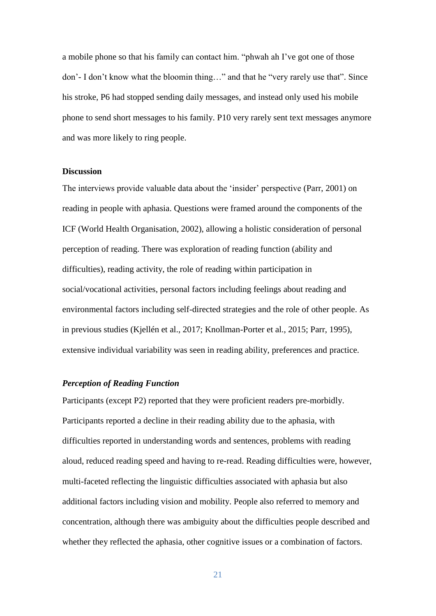a mobile phone so that his family can contact him. "phwah ah I've got one of those don'- I don't know what the bloomin thing…" and that he "very rarely use that". Since his stroke, P6 had stopped sending daily messages, and instead only used his mobile phone to send short messages to his family. P10 very rarely sent text messages anymore and was more likely to ring people.

#### **Discussion**

The interviews provide valuable data about the 'insider' perspective (Parr, 2001) on reading in people with aphasia. Questions were framed around the components of the ICF (World Health Organisation, 2002), allowing a holistic consideration of personal perception of reading. There was exploration of reading function (ability and difficulties), reading activity, the role of reading within participation in social/vocational activities, personal factors including feelings about reading and environmental factors including self-directed strategies and the role of other people. As in previous studies (Kjellén et al., 2017; Knollman-Porter et al., 2015; Parr, 1995), extensive individual variability was seen in reading ability, preferences and practice.

# *Perception of Reading Function*

Participants (except P2) reported that they were proficient readers pre-morbidly. Participants reported a decline in their reading ability due to the aphasia, with difficulties reported in understanding words and sentences, problems with reading aloud, reduced reading speed and having to re-read. Reading difficulties were, however, multi-faceted reflecting the linguistic difficulties associated with aphasia but also additional factors including vision and mobility. People also referred to memory and concentration, although there was ambiguity about the difficulties people described and whether they reflected the aphasia, other cognitive issues or a combination of factors.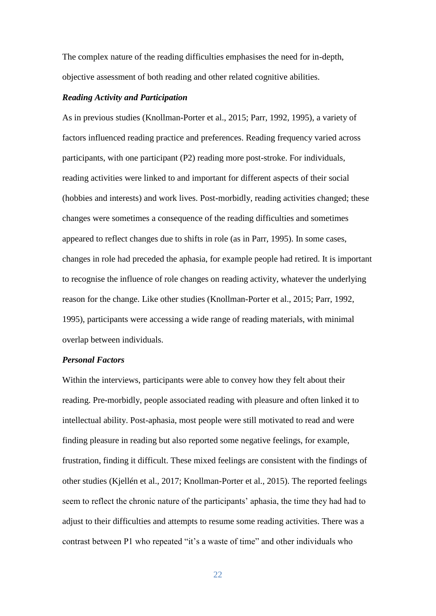The complex nature of the reading difficulties emphasises the need for in-depth, objective assessment of both reading and other related cognitive abilities.

#### *Reading Activity and Participation*

As in previous studies (Knollman-Porter et al., 2015; Parr, 1992, 1995), a variety of factors influenced reading practice and preferences. Reading frequency varied across participants, with one participant (P2) reading more post-stroke. For individuals, reading activities were linked to and important for different aspects of their social (hobbies and interests) and work lives. Post-morbidly, reading activities changed; these changes were sometimes a consequence of the reading difficulties and sometimes appeared to reflect changes due to shifts in role (as in Parr, 1995). In some cases, changes in role had preceded the aphasia, for example people had retired. It is important to recognise the influence of role changes on reading activity, whatever the underlying reason for the change. Like other studies (Knollman-Porter et al., 2015; Parr, 1992, 1995), participants were accessing a wide range of reading materials, with minimal overlap between individuals.

# *Personal Factors*

Within the interviews, participants were able to convey how they felt about their reading. Pre-morbidly, people associated reading with pleasure and often linked it to intellectual ability. Post-aphasia, most people were still motivated to read and were finding pleasure in reading but also reported some negative feelings, for example, frustration, finding it difficult. These mixed feelings are consistent with the findings of other studies (Kjellén et al., 2017; Knollman-Porter et al., 2015). The reported feelings seem to reflect the chronic nature of the participants' aphasia, the time they had had to adjust to their difficulties and attempts to resume some reading activities. There was a contrast between P1 who repeated "it's a waste of time" and other individuals who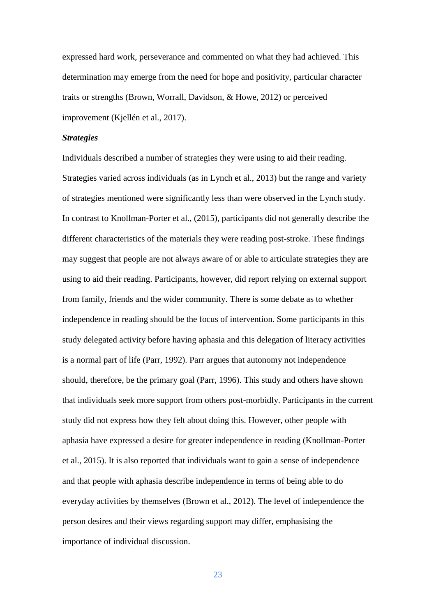expressed hard work, perseverance and commented on what they had achieved. This determination may emerge from the need for hope and positivity, particular character traits or strengths (Brown, Worrall, Davidson, & Howe, 2012) or perceived improvement (Kjellén et al., 2017).

### *Strategies*

Individuals described a number of strategies they were using to aid their reading. Strategies varied across individuals (as in Lynch et al., 2013) but the range and variety of strategies mentioned were significantly less than were observed in the Lynch study. In contrast to Knollman-Porter et al., (2015), participants did not generally describe the different characteristics of the materials they were reading post-stroke. These findings may suggest that people are not always aware of or able to articulate strategies they are using to aid their reading. Participants, however, did report relying on external support from family, friends and the wider community. There is some debate as to whether independence in reading should be the focus of intervention. Some participants in this study delegated activity before having aphasia and this delegation of literacy activities is a normal part of life (Parr, 1992). Parr argues that autonomy not independence should, therefore, be the primary goal (Parr, 1996). This study and others have shown that individuals seek more support from others post-morbidly. Participants in the current study did not express how they felt about doing this. However, other people with aphasia have expressed a desire for greater independence in reading (Knollman-Porter et al., 2015). It is also reported that individuals want to gain a sense of independence and that people with aphasia describe independence in terms of being able to do everyday activities by themselves (Brown et al., 2012). The level of independence the person desires and their views regarding support may differ, emphasising the importance of individual discussion.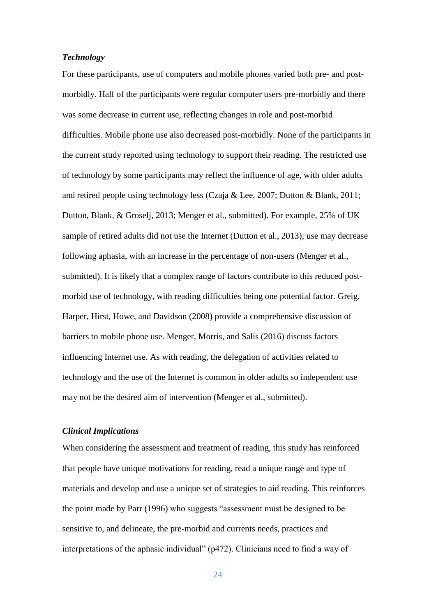# *Technology*

For these participants, use of computers and mobile phones varied both pre- and postmorbidly. Half of the participants were regular computer users pre-morbidly and there was some decrease in current use, reflecting changes in role and post-morbid difficulties. Mobile phone use also decreased post-morbidly. None of the participants in the current study reported using technology to support their reading. The restricted use of technology by some participants may reflect the influence of age, with older adults and retired people using technology less (Czaja & Lee, 2007; Dutton & Blank, 2011; Dutton, Blank, & Groselj, 2013; Menger et al., submitted). For example, 25% of UK sample of retired adults did not use the Internet (Dutton et al., 2013); use may decrease following aphasia, with an increase in the percentage of non-users (Menger et al., submitted). It is likely that a complex range of factors contribute to this reduced postmorbid use of technology, with reading difficulties being one potential factor. Greig, Harper, Hirst, Howe, and Davidson (2008) provide a comprehensive discussion of barriers to mobile phone use. Menger, Morris, and Salis (2016) discuss factors influencing Internet use. As with reading, the delegation of activities related to technology and the use of the Internet is common in older adults so independent use may not be the desired aim of intervention (Menger et al., submitted).

## *Clinical Implications*

When considering the assessment and treatment of reading, this study has reinforced that people have unique motivations for reading, read a unique range and type of materials and develop and use a unique set of strategies to aid reading. This reinforces the point made by Parr (1996) who suggests "assessment must be designed to be sensitive to, and delineate, the pre-morbid and currents needs, practices and interpretations of the aphasic individual" (p472). Clinicians need to find a way of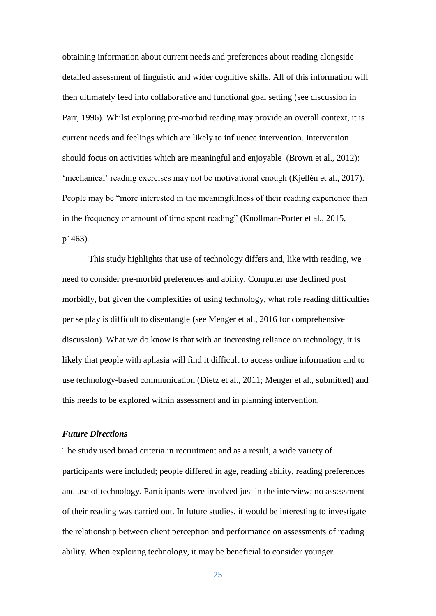obtaining information about current needs and preferences about reading alongside detailed assessment of linguistic and wider cognitive skills. All of this information will then ultimately feed into collaborative and functional goal setting (see discussion in Parr, 1996). Whilst exploring pre-morbid reading may provide an overall context, it is current needs and feelings which are likely to influence intervention. Intervention should focus on activities which are meaningful and enjoyable (Brown et al., 2012); 'mechanical' reading exercises may not be motivational enough (Kjellén et al., 2017). People may be "more interested in the meaningfulness of their reading experience than in the frequency or amount of time spent reading" (Knollman-Porter et al., 2015, p1463).

This study highlights that use of technology differs and, like with reading, we need to consider pre-morbid preferences and ability. Computer use declined post morbidly, but given the complexities of using technology, what role reading difficulties per se play is difficult to disentangle (see Menger et al., 2016 for comprehensive discussion). What we do know is that with an increasing reliance on technology, it is likely that people with aphasia will find it difficult to access online information and to use technology-based communication (Dietz et al., 2011; Menger et al., submitted) and this needs to be explored within assessment and in planning intervention.

## *Future Directions*

The study used broad criteria in recruitment and as a result, a wide variety of participants were included; people differed in age, reading ability, reading preferences and use of technology. Participants were involved just in the interview; no assessment of their reading was carried out. In future studies, it would be interesting to investigate the relationship between client perception and performance on assessments of reading ability. When exploring technology, it may be beneficial to consider younger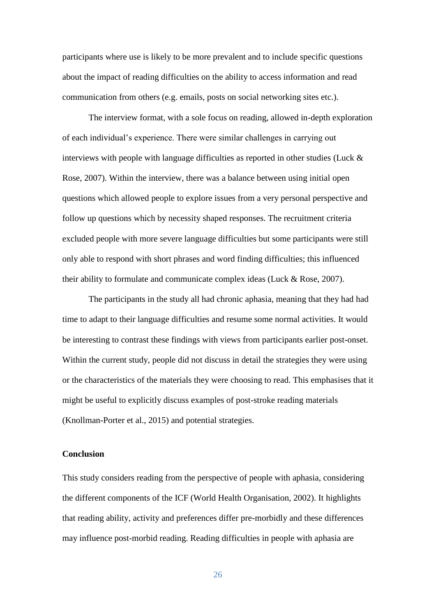participants where use is likely to be more prevalent and to include specific questions about the impact of reading difficulties on the ability to access information and read communication from others (e.g. emails, posts on social networking sites etc.).

The interview format, with a sole focus on reading, allowed in-depth exploration of each individual's experience. There were similar challenges in carrying out interviews with people with language difficulties as reported in other studies (Luck  $\&$ Rose, 2007). Within the interview, there was a balance between using initial open questions which allowed people to explore issues from a very personal perspective and follow up questions which by necessity shaped responses. The recruitment criteria excluded people with more severe language difficulties but some participants were still only able to respond with short phrases and word finding difficulties; this influenced their ability to formulate and communicate complex ideas (Luck & Rose, 2007).

The participants in the study all had chronic aphasia, meaning that they had had time to adapt to their language difficulties and resume some normal activities. It would be interesting to contrast these findings with views from participants earlier post-onset. Within the current study, people did not discuss in detail the strategies they were using or the characteristics of the materials they were choosing to read. This emphasises that it might be useful to explicitly discuss examples of post-stroke reading materials (Knollman-Porter et al., 2015) and potential strategies.

## **Conclusion**

This study considers reading from the perspective of people with aphasia, considering the different components of the ICF (World Health Organisation, 2002). It highlights that reading ability, activity and preferences differ pre-morbidly and these differences may influence post-morbid reading. Reading difficulties in people with aphasia are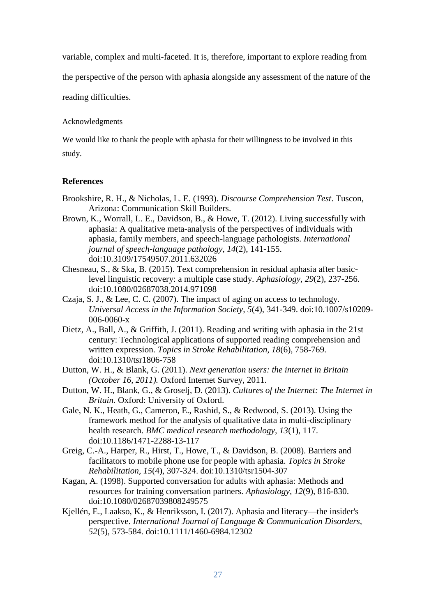variable, complex and multi-faceted. It is, therefore, important to explore reading from

the perspective of the person with aphasia alongside any assessment of the nature of the

reading difficulties.

Acknowledgments

We would like to thank the people with aphasia for their willingness to be involved in this study.

# **References**

- Brookshire, R. H., & Nicholas, L. E. (1993). *Discourse Comprehension Test*. Tuscon, Arizona: Communication Skill Builders.
- Brown, K., Worrall, L. E., Davidson, B., & Howe, T. (2012). Living successfully with aphasia: A qualitative meta-analysis of the perspectives of individuals with aphasia, family members, and speech-language pathologists. *International journal of speech-language pathology, 14*(2), 141-155. doi:10.3109/17549507.2011.632026
- Chesneau, S., & Ska, B. (2015). Text comprehension in residual aphasia after basiclevel linguistic recovery: a multiple case study. *Aphasiology, 29*(2), 237-256. doi:10.1080/02687038.2014.971098
- Czaja, S. J., & Lee, C. C. (2007). The impact of aging on access to technology. *Universal Access in the Information Society, 5*(4), 341-349. doi:10.1007/s10209- 006-0060-x
- Dietz, A., Ball, A., & Griffith, J. (2011). Reading and writing with aphasia in the 21st century: Technological applications of supported reading comprehension and written expression. *Topics in Stroke Rehabilitation, 18*(6), 758-769. doi:10.1310/tsr1806-758
- Dutton, W. H., & Blank, G. (2011). *Next generation users: the internet in Britain (October 16, 2011).* Oxford Internet Survey, 2011.
- Dutton, W. H., Blank, G., & Groselj, D. (2013). *Cultures of the Internet: The Internet in Britain.* Oxford: University of Oxford.
- Gale, N. K., Heath, G., Cameron, E., Rashid, S., & Redwood, S. (2013). Using the framework method for the analysis of qualitative data in multi-disciplinary health research. *BMC medical research methodology, 13*(1), 117. doi:10.1186/1471-2288-13-117
- Greig, C.-A., Harper, R., Hirst, T., Howe, T., & Davidson, B. (2008). Barriers and facilitators to mobile phone use for people with aphasia. *Topics in Stroke Rehabilitation, 15*(4), 307-324. doi:10.1310/tsr1504-307
- Kagan, A. (1998). Supported conversation for adults with aphasia: Methods and resources for training conversation partners. *Aphasiology, 12*(9), 816-830. doi:10.1080/02687039808249575
- Kjellén, E., Laakso, K., & Henriksson, I. (2017). Aphasia and literacy—the insider's perspective. *International Journal of Language & Communication Disorders, 52*(5), 573-584. doi:10.1111/1460-6984.12302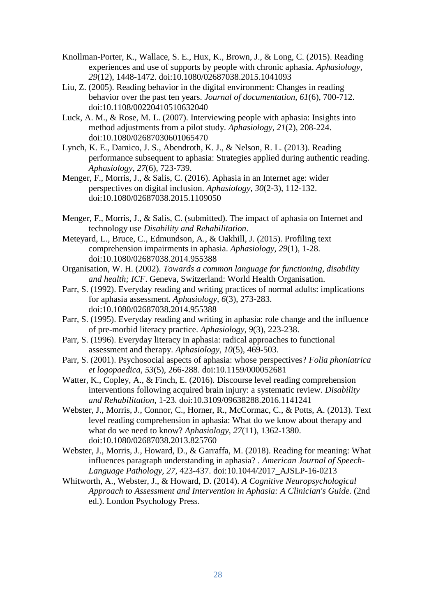- Knollman-Porter, K., Wallace, S. E., Hux, K., Brown, J., & Long, C. (2015). Reading experiences and use of supports by people with chronic aphasia. *Aphasiology, 29*(12), 1448-1472. doi:10.1080/02687038.2015.1041093
- Liu, Z. (2005). Reading behavior in the digital environment: Changes in reading behavior over the past ten years. *Journal of documentation, 61*(6), 700-712. doi:10.1108/00220410510632040
- Luck, A. M., & Rose, M. L. (2007). Interviewing people with aphasia: Insights into method adjustments from a pilot study. *Aphasiology, 21*(2), 208-224. doi:10.1080/02687030601065470
- Lynch, K. E., Damico, J. S., Abendroth, K. J., & Nelson, R. L. (2013). Reading performance subsequent to aphasia: Strategies applied during authentic reading. *Aphasiology, 27*(6), 723-739.
- Menger, F., Morris, J., & Salis, C. (2016). Aphasia in an Internet age: wider perspectives on digital inclusion. *Aphasiology, 30*(2-3), 112-132. doi:10.1080/02687038.2015.1109050
- Menger, F., Morris, J., & Salis, C. (submitted). The impact of aphasia on Internet and technology use *Disability and Rehabilitation*.
- Meteyard, L., Bruce, C., Edmundson, A., & Oakhill, J. (2015). Profiling text comprehension impairments in aphasia. *Aphasiology, 29*(1), 1-28. doi:10.1080/02687038.2014.955388
- Organisation, W. H. (2002). *Towards a common language for functioning, disability and health; ICF*. Geneva, Switzerland: World Health Organisation.
- Parr, S. (1992). Everyday reading and writing practices of normal adults: implications for aphasia assessment. *Aphasiology, 6*(3), 273-283. doi:10.1080/02687038.2014.955388
- Parr, S. (1995). Everyday reading and writing in aphasia: role change and the influence of pre-morbid literacy practice. *Aphasiology, 9*(3), 223-238.
- Parr, S. (1996). Everyday literacy in aphasia: radical approaches to functional assessment and therapy. *Aphasiology, 10*(5), 469-503.
- Parr, S. (2001). Psychosocial aspects of aphasia: whose perspectives? *Folia phoniatrica et logopaedica, 53*(5), 266-288. doi:10.1159/000052681
- Watter, K., Copley, A., & Finch, E. (2016). Discourse level reading comprehension interventions following acquired brain injury: a systematic review. *Disability and Rehabilitation*, 1-23. doi:10.3109/09638288.2016.1141241
- Webster, J., Morris, J., Connor, C., Horner, R., McCormac, C., & Potts, A. (2013). Text level reading comprehension in aphasia: What do we know about therapy and what do we need to know? *Aphasiology, 27*(11), 1362-1380. doi:10.1080/02687038.2013.825760
- Webster, J., Morris, J., Howard, D., & Garraffa, M. (2018). Reading for meaning: What influences paragraph understanding in aphasia? . *American Journal of Speech-Language Pathology, 27*, 423-437. doi:10.1044/2017\_AJSLP-16-0213
- Whitworth, A., Webster, J., & Howard, D. (2014). *A Cognitive Neuropsychological Approach to Assessment and Intervention in Aphasia: A Clinician's Guide.* (2nd ed.). London Psychology Press.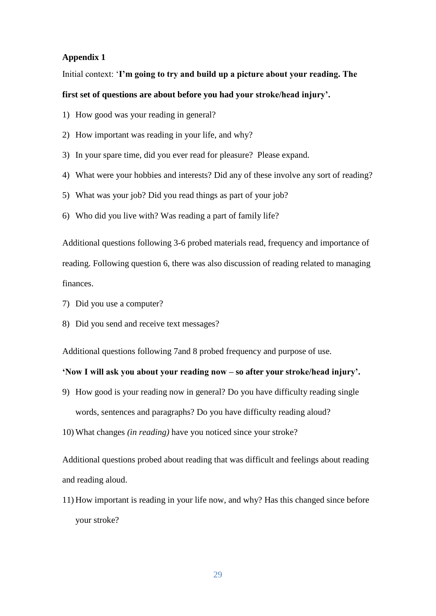# **Appendix 1**

Initial context: '**I'm going to try and build up a picture about your reading. The** 

# **first set of questions are about before you had your stroke/head injury'.**

- 1) How good was your reading in general?
- 2) How important was reading in your life, and why?
- 3) In your spare time, did you ever read for pleasure? Please expand.
- 4) What were your hobbies and interests? Did any of these involve any sort of reading?
- 5) What was your job? Did you read things as part of your job?
- 6) Who did you live with? Was reading a part of family life?

Additional questions following 3-6 probed materials read, frequency and importance of reading. Following question 6, there was also discussion of reading related to managing finances.

- 7) Did you use a computer?
- 8) Did you send and receive text messages?

Additional questions following 7and 8 probed frequency and purpose of use.

# **'Now I will ask you about your reading now – so after your stroke/head injury'.**

- 9) How good is your reading now in general? Do you have difficulty reading single words, sentences and paragraphs? Do you have difficulty reading aloud?
- 10) What changes *(in reading)* have you noticed since your stroke?

Additional questions probed about reading that was difficult and feelings about reading and reading aloud.

11) How important is reading in your life now, and why? Has this changed since before your stroke?